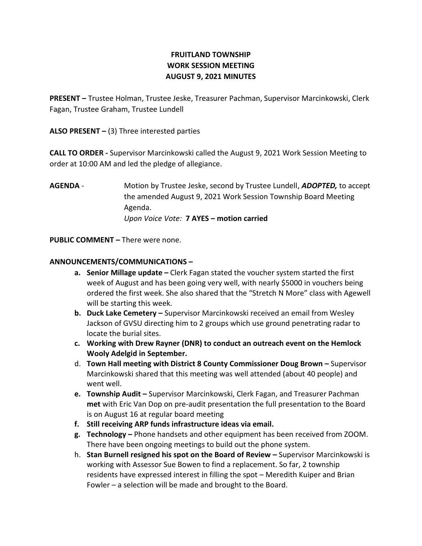# FRUITLAND TOWNSHIP WORK SESSION MEETING AUGUST 9, 2021 MINUTES

PRESENT – Trustee Holman, Trustee Jeske, Treasurer Pachman, Supervisor Marcinkowski, Clerk Fagan, Trustee Graham, Trustee Lundell

ALSO PRESENT  $-$  (3) Three interested parties

CALL TO ORDER - Supervisor Marcinkowski called the August 9, 2021 Work Session Meeting to order at 10:00 AM and led the pledge of allegiance.

AGENDA - Motion by Trustee Jeske, second by Trustee Lundell, ADOPTED, to accept the amended August 9, 2021 Work Session Township Board Meeting Agenda. Upon Voice Vote: 7 AYES – motion carried

PUBLIC COMMENT – There were none.

## ANNOUNCEMENTS/COMMUNICATIONS –

- a. Senior Millage update Clerk Fagan stated the voucher system started the first week of August and has been going very well, with nearly \$5000 in vouchers being ordered the first week. She also shared that the "Stretch N More" class with Agewell will be starting this week.
- b. Duck Lake Cemetery Supervisor Marcinkowski received an email from Wesley Jackson of GVSU directing him to 2 groups which use ground penetrating radar to locate the burial sites.
- c. Working with Drew Rayner (DNR) to conduct an outreach event on the Hemlock Wooly Adelgid in September.
- d. Town Hall meeting with District 8 County Commissioner Doug Brown Supervisor Marcinkowski shared that this meeting was well attended (about 40 people) and went well.
- e. Township Audit Supervisor Marcinkowski, Clerk Fagan, and Treasurer Pachman met with Eric Van Dop on pre-audit presentation the full presentation to the Board is on August 16 at regular board meeting
- f. Still receiving ARP funds infrastructure ideas via email.
- g. Technology Phone handsets and other equipment has been received from ZOOM. There have been ongoing meetings to build out the phone system.
- h. Stan Burnell resigned his spot on the Board of Review Supervisor Marcinkowski is working with Assessor Sue Bowen to find a replacement. So far, 2 township residents have expressed interest in filling the spot – Meredith Kuiper and Brian Fowler – a selection will be made and brought to the Board.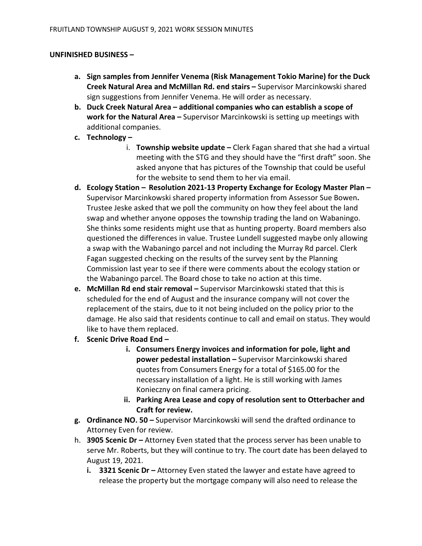### UNFINISHED BUSINESS –

- a. Sign samples from Jennifer Venema (Risk Management Tokio Marine) for the Duck Creek Natural Area and McMillan Rd. end stairs – Supervisor Marcinkowski shared sign suggestions from Jennifer Venema. He will order as necessary.
- b. Duck Creek Natural Area additional companies who can establish a scope of work for the Natural Area - Supervisor Marcinkowski is setting up meetings with additional companies.
- c. Technology
	- i. Township website update Clerk Fagan shared that she had a virtual meeting with the STG and they should have the "first draft" soon. She asked anyone that has pictures of the Township that could be useful for the website to send them to her via email.
- d. Ecology Station Resolution 2021-13 Property Exchange for Ecology Master Plan Supervisor Marcinkowski shared property information from Assessor Sue Bowen. Trustee Jeske asked that we poll the community on how they feel about the land swap and whether anyone opposes the township trading the land on Wabaningo. She thinks some residents might use that as hunting property. Board members also questioned the differences in value. Trustee Lundell suggested maybe only allowing a swap with the Wabaningo parcel and not including the Murray Rd parcel. Clerk Fagan suggested checking on the results of the survey sent by the Planning Commission last year to see if there were comments about the ecology station or the Wabaningo parcel. The Board chose to take no action at this time.
- e. McMillan Rd end stair removal Supervisor Marcinkowski stated that this is scheduled for the end of August and the insurance company will not cover the replacement of the stairs, due to it not being included on the policy prior to the damage. He also said that residents continue to call and email on status. They would like to have them replaced.
- f. Scenic Drive Road End
	- i. Consumers Energy invoices and information for pole, light and power pedestal installation – Supervisor Marcinkowski shared quotes from Consumers Energy for a total of \$165.00 for the necessary installation of a light. He is still working with James Konieczny on final camera pricing.
	- ii. Parking Area Lease and copy of resolution sent to Otterbacher and Craft for review.
- g. Ordinance NO. 50 Supervisor Marcinkowski will send the drafted ordinance to Attorney Even for review.
- h. 3905 Scenic Dr Attorney Even stated that the process server has been unable to serve Mr. Roberts, but they will continue to try. The court date has been delayed to August 19, 2021.
	- i.  $3321$  Scenic Dr Attorney Even stated the lawyer and estate have agreed to release the property but the mortgage company will also need to release the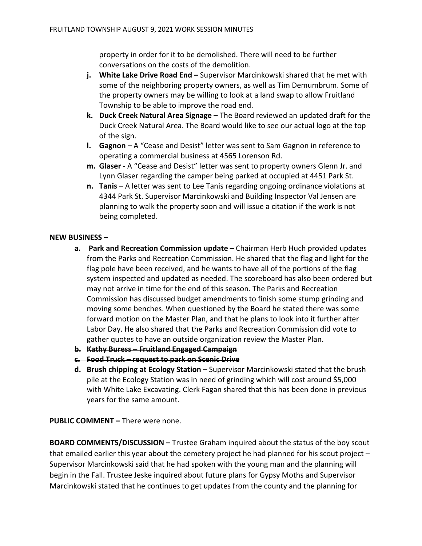property in order for it to be demolished. There will need to be further conversations on the costs of the demolition.

- j. White Lake Drive Road End Supervisor Marcinkowski shared that he met with some of the neighboring property owners, as well as Tim Demumbrum. Some of the property owners may be willing to look at a land swap to allow Fruitland Township to be able to improve the road end.
- k. Duck Creek Natural Area Signage The Board reviewed an updated draft for the Duck Creek Natural Area. The Board would like to see our actual logo at the top of the sign.
- l. Gagnon A "Cease and Desist" letter was sent to Sam Gagnon in reference to operating a commercial business at 4565 Lorenson Rd.
- m. Glaser A "Cease and Desist" letter was sent to property owners Glenn Jr. and Lynn Glaser regarding the camper being parked at occupied at 4451 Park St.
- n. Tanis A letter was sent to Lee Tanis regarding ongoing ordinance violations at 4344 Park St. Supervisor Marcinkowski and Building Inspector Val Jensen are planning to walk the property soon and will issue a citation if the work is not being completed.

### NEW BUSINESS –

- a. Park and Recreation Commission update Chairman Herb Huch provided updates from the Parks and Recreation Commission. He shared that the flag and light for the flag pole have been received, and he wants to have all of the portions of the flag system inspected and updated as needed. The scoreboard has also been ordered but may not arrive in time for the end of this season. The Parks and Recreation Commission has discussed budget amendments to finish some stump grinding and moving some benches. When questioned by the Board he stated there was some forward motion on the Master Plan, and that he plans to look into it further after Labor Day. He also shared that the Parks and Recreation Commission did vote to gather quotes to have an outside organization review the Master Plan.
- b. Kathy Buress Fruitland Engaged Campaign
- c. Food Truck request to park on Scenic Drive
- d. Brush chipping at Ecology Station Supervisor Marcinkowski stated that the brush pile at the Ecology Station was in need of grinding which will cost around \$5,000 with White Lake Excavating. Clerk Fagan shared that this has been done in previous years for the same amount.

PUBLIC COMMENT – There were none.

BOARD COMMENTS/DISCUSSION – Trustee Graham inquired about the status of the boy scout that emailed earlier this year about the cemetery project he had planned for his scout project – Supervisor Marcinkowski said that he had spoken with the young man and the planning will begin in the Fall. Trustee Jeske inquired about future plans for Gypsy Moths and Supervisor Marcinkowski stated that he continues to get updates from the county and the planning for